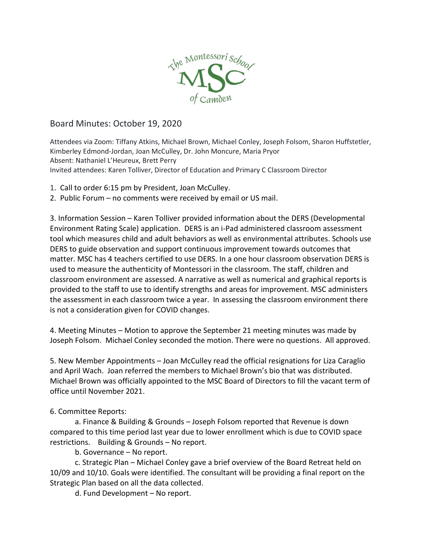

## Board Minutes: October 19, 2020

Attendees via Zoom: Tiffany Atkins, Michael Brown, Michael Conley, Joseph Folsom, Sharon Huffstetler, Kimberley Edmond-Jordan, Joan McCulley, Dr. John Moncure, Maria Pryor Absent: Nathaniel L'Heureux, Brett Perry Invited attendees: Karen Tolliver, Director of Education and Primary C Classroom Director

- 1. Call to order 6:15 pm by President, Joan McCulley.
- 2. Public Forum no comments were received by email or US mail.

3. Information Session – Karen Tolliver provided information about the DERS (Developmental Environment Rating Scale) application. [DERS](https://www.ders-app.org/) is an i-Pad administered classroom assessment tool which measures child and adult behaviors as well as environmental attributes. Schools use DERS to guide observation and support continuous improvement towards outcomes that matter. MSC has 4 teachers certified to use DERS. In a one hour classroom observation DERS is used to measure the authenticity of Montessori in the classroom. The staff, children and classroom environment are assessed. A narrative as well as numerical and graphical reports is provided to the staff to use to identify strengths and areas for improvement. MSC administers the assessment in each classroom twice a year. In assessing the classroom environment there is not a consideration given for COVID changes.

4. Meeting Minutes – Motion to approve the September 21 meeting minutes was made by Joseph Folsom. Michael Conley seconded the motion. There were no questions. All approved.

5. New Member Appointments – Joan McCulley read the official resignations for Liza Caraglio and April Wach. Joan referred the members to Michael Brown's bio that was distributed. Michael Brown was officially appointed to the MSC Board of Directors to fill the vacant term of office until November 2021.

## 6. Committee Reports:

a. Finance & Building & Grounds – Joseph Folsom reported that Revenue is down compared to this time period last year due to lower enrollment which is due to COVID space restrictions. Building & Grounds – No report.

b. Governance – No report.

c. Strategic Plan – Michael Conley gave a brief overview of the Board Retreat held on 10/09 and 10/10. Goals were identified. The consultant will be providing a final report on the Strategic Plan based on all the data collected.

d. Fund Development – No report.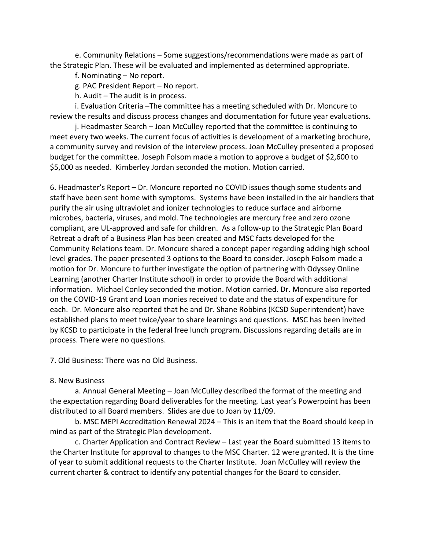e. Community Relations – Some suggestions/recommendations were made as part of the Strategic Plan. These will be evaluated and implemented as determined appropriate.

f. Nominating – No report.

g. PAC President Report – No report.

h. Audit – The audit is in process.

i. Evaluation Criteria –The committee has a meeting scheduled with Dr. Moncure to review the results and discuss process changes and documentation for future year evaluations.

j. Headmaster Search – Joan McCulley reported that the committee is continuing to meet every two weeks. The current focus of activities is development of a marketing brochure, a community survey and revision of the interview process. Joan McCulley presented a proposed budget for the committee. Joseph Folsom made a motion to approve a budget of \$2,600 to \$5,000 as needed. Kimberley Jordan seconded the motion. Motion carried.

6. Headmaster's Report – Dr. Moncure reported no COVID issues though some students and staff have been sent home with symptoms. Systems have been installed in the air handlers that purify the air using ultraviolet and ionizer technologies to reduce surface and airborne microbes, bacteria, viruses, and mold. The technologies are mercury free and zero ozone compliant, are UL-approved and safe for children. As a follow-up to the Strategic Plan Board Retreat a draft of a Business Plan has been created and MSC facts developed for the Community Relations team. Dr. Moncure shared a concept paper regarding adding high school level grades. The paper presented 3 options to the Board to consider. Joseph Folsom made a motion for Dr. Moncure to further investigate the option of partnering with Odyssey Online Learning (another Charter Institute school) in order to provide the Board with additional information. Michael Conley seconded the motion. Motion carried. Dr. Moncure also reported on the COVID-19 Grant and Loan monies received to date and the status of expenditure for each. Dr. Moncure also reported that he and Dr. Shane Robbins (KCSD Superintendent) have established plans to meet twice/year to share learnings and questions. MSC has been invited by KCSD to participate in the federal free lunch program. Discussions regarding details are in process. There were no questions.

7. Old Business: There was no Old Business.

## 8. New Business

a. Annual General Meeting – Joan McCulley described the format of the meeting and the expectation regarding Board deliverables for the meeting. Last year's Powerpoint has been distributed to all Board members. Slides are due to Joan by 11/09.

b. MSC MEPI Accreditation Renewal 2024 – This is an item that the Board should keep in mind as part of the Strategic Plan development.

c. Charter Application and Contract Review – Last year the Board submitted 13 items to the Charter Institute for approval to changes to the MSC Charter. 12 were granted. It is the time of year to submit additional requests to the Charter Institute. Joan McCulley will review the current charter & contract to identify any potential changes for the Board to consider.